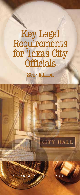## Key Legal Requirements for Texas City **Officials**

2017 Edition

TEXAS MUNICIPAL LEAGUE

**CITY HALL**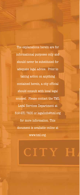The explanations herein are for informational purposes only and should never be substituted for adequate legal advice. Prior to taking action on anything contained herein, a city official should consult with local legal counsel. Please contact the TML Legal Services Department at 512-231-7400 or legalinfo@tml.org for more information. This document is available online at www.tml.org.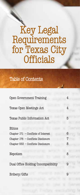# Key Legal Requirements for Texas City **Officials**

## Table of Contents

| Open Government Training              | 4 |
|---------------------------------------|---|
| <b>Texas Open Meetings Act</b>        | 4 |
| <b>Texas Public Information Act</b>   | 5 |
| Ethics                                |   |
| Chapter $171$ - Conflicts of Interest | 6 |
| Chapter 176 - Conflicts Disclosure    | 7 |
| Chapter 553 - Conflicts Disclosure    | 8 |
| Nepotism                              | 8 |
| Dual Office Holding/Incompatibility   | 9 |
| Bribery/Gifts                         |   |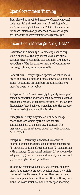### Open Government Training

Each elected or appointed member of a governmental body must take at least one hour of training in both the Open Meetings Act and the Public Information Act. For more information, please visit the attorney general's website at www.texasattorneygeneral.gov.

## Texas Open Meetings Act (TOMA)

**Definition of "meeting":** A meeting occurs any time a quorum of the city council discusses public business that is within the city council's jurisdiction, regardless of the location or means of communication (e.g., phone, in person, email).

**General rule:** Every regular, special, or called meeting of the city council and most boards and commissions (depending on membership and authority) must be open to the public.

**Exception**: TOMA does not apply to purely social gatherings, conventions and workshops, ceremonial events, press conferences, or candidate forums, so long as any discussion of city business is incidental to the purpose of the gathering, and no action is taken.

**Exception:** A city may use an online message board that is viewable by the public for city councilmembers to discuss city business. The message board must meet serval criteria provided for in TOMA.

**Exception:** Statutorily authorized executive or "closed" sessions, including deliberations concerning: (1) purchase or lease of real property; (2) consultation with attorney; (3) personnel matters; (4) economic development; (5) certain homeland security matters; and (6) certain cyber-security matters.

To hold an executive session, the governing body must first convene in open session, identify which issues will be discussed in executive session, and cite the applicable exception. All final actions, decisions, or votes must be made in an open meeting.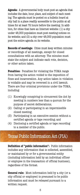**Agenda:** A governmental body must post an agenda that includes the date, hour, place, and subject of each meeting. The agenda must be posted on a bulletin board at city hall in a place readily accessible to the public at all times for at least 72 hours before the meeting. In addition, for cities that have an Internet website: (1) a city under 48,000 population must post meeting notices on its website; and (2) a city over 48,000 population must post the entire agenda on its website.

**Records of meetings:** Cities must keep written minutes or recordings of all meetings, except for closed consultations with an attorney. The minutes must state the subject and indicate each vote, decision, or other action taken.

**Penalties:** Penalties for violating the TOMA range from having the action voided to the imposition of fines and incarceration. Any action taken in violation is voidable and may be reversed in a civil lawsuit. There are four criminal provisions under the TOMA, including:

- (1) Knowingly conspiring to circumvent the Act by meeting in numbers less than a quorum for the purpose of secret deliberations;
- (2) Calling or participating in an impermissible closed meeting;
- (3) Participating in an executive session without a certified agenda or tape recording; and
- (4) Disclosing a certified agenda or tape recording to a member of the public.

### Texas Public Information Act (PIA)

**Definition of "public information":** Public information includes any information that is collected, assembled, or maintained by or for a governmental entity (including information held by an individual officer or employee in the transaction of official business), regardless of the format.

**General rule:** Most information held by a city (or a city official or employee) is presumed to be public information and must be released pursuant to a written request.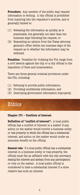**Procedure:** Any member of the public may request information in writing. A city official is prohibited from inquiring into the requestor's motives, and is generally limited to:

- (1) Releasing the information as quickly as is practicable, but generally not later than ten business days following the request; or
- (2) Requesting an opinion from the Texas attorney general's office within ten business days of the request as to whether the information may be withheld.

**Penalties:** Penalties for violating the PIA range from a civil lawsuit against the city or a city official to the imposition of fines and incarceration.

There are three general criminal provisions under the PIA, including:

- (1) Refusing to provide public information;
- (2) Providing confidential information; and
- (3) Destroying government information improperly.

## **Ethics**

#### **Chapter 171 – Conflicts of Interest**

**Definition of "conflict of interest":** A local public official has a conflict of interest in a matter if any action on the matter would involve a business entity or real property in which the official has a substantial interest, and action on the matter would confer an economic benefit on the official.

**General rule:** If a local public official has a substantial interest in a business entity or real property, the official must file an affidavit with the city secretary stating the interest and abstain from any participation or vote on the matter. A local public official is considered to have a substantial interest if a close relative has such an interest.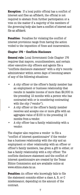**Exception:** If a local public official has a conflict of interest and files an affidavit, the official is not required to abstain from further participation or a vote on the matter if a majority of the members of the governing body also have a conflict of interest and file an affidavit.

**Penalties:** Penalties for violating the conflict of interest provisions range from having the action voided to the imposition of fines and incarceration.

#### **Chapter 176 – Conflicts Disclosure**

**General rule:** Local Government Code Chapter 176 requires that mayors, councilmembers, and certain other executive city officers and agents file a "conflicts disclosure statement" with a city's records administrator within seven days of becoming aware of any of the following situations:

- A city officer or the officer's family member has an employment or business relationship that results in taxable income of more than \$2,500 in the preceding 12 months with a person who has contracted with or is considering contracting with the city ("vendor").
- A city officer or the officer's family member receives and accepts one or more gifts with an aggregate value of \$100 in the preceding 12 months from a vendor.
- A city officer has a family relationship with a vendor.

The chapter also requires a vendor to file a "conflict of interest questionnaire" if the vendor has a business relationship with the city and an employment or other relationship with an officer or officer's family members, has given a gift to either, or has a family relationship with a city officer. The conflicts disclosure statement and the conflict of interest questionnaire are created by the Texas Ethics Commission and are available online at www.ethics.state.tx.us.

**Penalties:** An officer who knowingly fails to file the statement commits either a class A, B, or C misdemeanor, depending on the amount of the contract.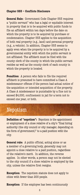#### **Chapter 553 – Conflicts Disclosure**

**General Rule:** Government Code Chapter 553 requires a "public servant" who has a legal or equitable interest in property that is to be acquired with public funds to file an affidavit within ten days before the date on which the property is to be acquired by purchase or condemnation. Chapter 553 applies to the acquisition of both real property (e.g., land) and personal property (e.g., a vehicle). In addition, Chapter 553 seems to apply even when the property is to be acquired by a governmental entity with which the public servant is not affiliated. The affidavit must be filed with the county clerk of the county in which the public servant resides as well as the county clerk of each county in which the property is located.

**Penalties:** A person who fails to file the required affidavit is presumed to have committed a Class A misdemeanor offense if the person had actual notice of the acquisition or intended acquisition of the property. A Class A misdemeanor is punishable by a fine not to exceed \$4,000, confinement in jail for a term not to exceed one year, or both.

## Nepotism

**Definition of "nepotism":** Nepotism is the appointment or employment of a close relative of a city's "final hiring authority (the city council or city manager, depending on the form of government)" to a paid position with the city.

**General rule:** A public official, acting alone or as a member of a governing body, generally may not appoint a close relative to a paid position, regardless of the relative's merit. In addition, the reverse applies. In other words, a person may not be elected to the city council if a close relative is employed by the city, unless the relative first resigns.

**Exception:** The nepotism statute does not apply to cities with fewer than 200 people.

**Exception:** If the employee has been continuously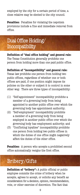employed by the city for a certain period of time, a close relative may be elected to the city council.

**Penalties:** Penalties for violating the nepotism provisions include a fine and immediate removal from office.

## Dual Office Holding/ **Incompatibility**

**Definition of "dual office holding" and general rule:** The Texas Constitution generally prohibits one person from holding more than one paid public office.

#### **Definition of "incompatibility" and general rule:**

Texas law prohibits one person from holding two public offices, regardless of whether one or both offices are paid, if one position might impose its policies on the other or subject it to control in some other way. There are three types of incompatibility:

- (1) "Self-appointment" incompatibility prohibits a member of a governing body from being appointed to another public office over which the governing body has appointment authority;
- (2) "Self-employment" incompatibility prohibits a member of a governing body from being employed in another public office over which the governing body has employment authority; and
- (3) "Conflicting loyalties" incompatibility prohibits one person from holding two public offices in which the duties of one office might negatively affect the duties of the other office.

**Penalties:** A person who accepts a prohibited second office automatically resigns the first office.

## Bribery/Gifts

**Definition of "bribery":** A public official or public employee commits the crime of bribery when he accepts, agrees to accept, or solicits any benefit as consideration for a decision, opinion, recommendation, vote, or other exercise of discretion. The fact that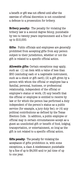a benefit or gift was not offered until after the exercise of official discretion is not considered a defense to a prosecution for bribery.

**Bribery penalty:** The penalty for violating the bribery law is a second degree felony, punishable by two to twenty years imprisonment and a fine of up to \$10,000.

**Gifts:** Public officials and employees are generally prohibited from accepting gifts from any person subject to their jurisdiction, whether or not the gift is related to a specific official action.

**Allowable gifts:** Certain exceptions may apply, such as: (1) an item with a value of less than \$50 (excluding cash or a negotiable instrument, such as a check or gift card); (2) a gift given by a person with whom the official or employee has a familial, personal, business, or professional relationship, independent of the official or employee's status or work; (3) any benefit that the official or employee is entitled to receive by law or for which the person has performed a duty independent of the person's status as a public service (for example, a jury duty fee); or (4) any political contributions as defined by the Texas Election Code. In addition, a public employee or official may in certain circumstances accept as a guest an unsolicited gift or benefit of food, lodging, transportation, or entertainment, so long as the gift is not related to a specific official action.

**Gifts penalty:** The penalty for violating the acceptance of gifts prohibition is, with some exceptions, a class A misdemeanor, punishable by a fine of up to \$4,000 and/or jail time of up to one year.